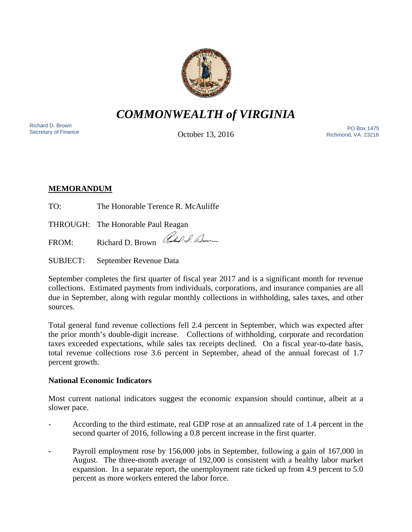

# *COMMONWEALTH of VIRGINIA*

Richard D. Brown

October 13, 2016

Richard D. Brown<br>Secretary of Finance PO Box 1475<br>Cotobor 13, 2016 Richmond, VA. 23218

## **MEMORANDUM**

TO: The Honorable Terence R. McAuliffe

THROUGH: The Honorable Paul Reagan

FROM: Richard D. Brown Rubble D. Lem

SUBJECT: September Revenue Data

September completes the first quarter of fiscal year 2017 and is a significant month for revenue collections. Estimated payments from individuals, corporations, and insurance companies are all due in September, along with regular monthly collections in withholding, sales taxes, and other sources.

Total general fund revenue collections fell 2.4 percent in September, which was expected after the prior month's double-digit increase. Collections of withholding, corporate and recordation taxes exceeded expectations, while sales tax receipts declined. On a fiscal year-to-date basis, total revenue collections rose 3.6 percent in September, ahead of the annual forecast of 1.7 percent growth.

## **National Economic Indicators**

Most current national indicators suggest the economic expansion should continue, albeit at a slower pace.

- According to the third estimate, real GDP rose at an annualized rate of 1.4 percent in the second quarter of 2016, following a 0.8 percent increase in the first quarter.
- Payroll employment rose by 156,000 jobs in September, following a gain of 167,000 in August. The three-month average of 192,000 is consistent with a healthy labor market expansion. In a separate report, the unemployment rate ticked up from 4.9 percent to 5.0 percent as more workers entered the labor force.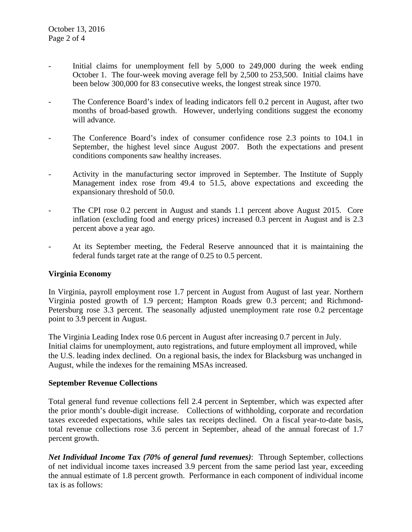- Initial claims for unemployment fell by  $5,000$  to  $249,000$  during the week ending October 1. The four-week moving average fell by 2,500 to 253,500. Initial claims have been below 300,000 for 83 consecutive weeks, the longest streak since 1970.
- The Conference Board's index of leading indicators fell 0.2 percent in August, after two months of broad-based growth. However, underlying conditions suggest the economy will advance.
- The Conference Board's index of consumer confidence rose 2.3 points to 104.1 in September, the highest level since August 2007. Both the expectations and present conditions components saw healthy increases.
- Activity in the manufacturing sector improved in September. The Institute of Supply Management index rose from 49.4 to 51.5, above expectations and exceeding the expansionary threshold of 50.0.
- The CPI rose 0.2 percent in August and stands 1.1 percent above August 2015. Core inflation (excluding food and energy prices) increased 0.3 percent in August and is 2.3 percent above a year ago.
- At its September meeting, the Federal Reserve announced that it is maintaining the federal funds target rate at the range of 0.25 to 0.5 percent.

#### **Virginia Economy**

In Virginia, payroll employment rose 1.7 percent in August from August of last year. Northern Virginia posted growth of 1.9 percent; Hampton Roads grew 0.3 percent; and Richmond-Petersburg rose 3.3 percent. The seasonally adjusted unemployment rate rose 0.2 percentage point to 3.9 percent in August.

The Virginia Leading Index rose 0.6 percent in August after increasing 0.7 percent in July. Initial claims for unemployment, auto registrations, and future employment all improved, while the U.S. leading index declined. On a regional basis, the index for Blacksburg was unchanged in August, while the indexes for the remaining MSAs increased.

#### **September Revenue Collections**

Total general fund revenue collections fell 2.4 percent in September, which was expected after the prior month's double-digit increase. Collections of withholding, corporate and recordation taxes exceeded expectations, while sales tax receipts declined. On a fiscal year-to-date basis, total revenue collections rose 3.6 percent in September, ahead of the annual forecast of 1.7 percent growth.

*Net Individual Income Tax (70% of general fund revenues)*: Through September, collections of net individual income taxes increased 3.9 percent from the same period last year, exceeding the annual estimate of 1.8 percent growth. Performance in each component of individual income tax is as follows: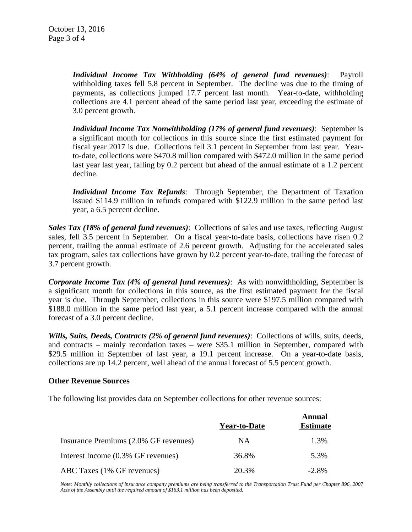*Individual Income Tax Withholding (64% of general fund revenues)*: Payroll withholding taxes fell 5.8 percent in September. The decline was due to the timing of payments, as collections jumped 17.7 percent last month. Year-to-date, withholding collections are 4.1 percent ahead of the same period last year, exceeding the estimate of 3.0 percent growth.

*Individual Income Tax Nonwithholding (17% of general fund revenues)*: September is a significant month for collections in this source since the first estimated payment for fiscal year 2017 is due. Collections fell 3.1 percent in September from last year. Yearto-date, collections were \$470.8 million compared with \$472.0 million in the same period last year last year, falling by 0.2 percent but ahead of the annual estimate of a 1.2 percent decline.

*Individual Income Tax Refunds*: Through September, the Department of Taxation issued \$114.9 million in refunds compared with \$122.9 million in the same period last year, a 6.5 percent decline.

*Sales Tax (18% of general fund revenues)*: Collections of sales and use taxes, reflecting August sales, fell 3.5 percent in September. On a fiscal year-to-date basis, collections have risen 0.2 percent, trailing the annual estimate of 2.6 percent growth. Adjusting for the accelerated sales tax program, sales tax collections have grown by 0.2 percent year-to-date, trailing the forecast of 3.7 percent growth.

*Corporate Income Tax (4% of general fund revenues)*: As with nonwithholding, September is a significant month for collections in this source, as the first estimated payment for the fiscal year is due. Through September, collections in this source were \$197.5 million compared with \$188.0 million in the same period last year, a 5.1 percent increase compared with the annual forecast of a 3.0 percent decline.

*Wills, Suits, Deeds, Contracts (2% of general fund revenues)*: Collections of wills, suits, deeds, and contracts – mainly recordation taxes – were \$35.1 million in September, compared with \$29.5 million in September of last year, a 19.1 percent increase. On a year-to-date basis, collections are up 14.2 percent, well ahead of the annual forecast of 5.5 percent growth.

#### **Other Revenue Sources**

The following list provides data on September collections for other revenue sources:

|                                       | <b>Year-to-Date</b> | Annual<br><b>Estimate</b> |
|---------------------------------------|---------------------|---------------------------|
| Insurance Premiums (2.0% GF revenues) | NA                  | 1.3%                      |
| Interest Income (0.3% GF revenues)    | 36.8%               | 5.3%                      |
| ABC Taxes (1% GF revenues)            | 20.3%               | $-2.8\%$                  |

*Note: Monthly collections of insurance company premiums are being transferred to the Transportation Trust Fund per Chapter 896, 2007 Acts of the Assembly until the required amount of \$163.1 million has been deposited.*